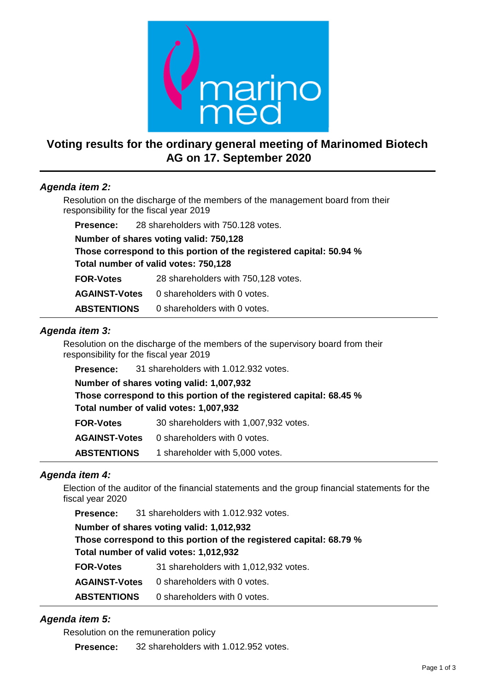

# **Voting results for the ordinary general meeting of Marinomed Biotech AG on 17. September 2020**

## *Agenda item 2:*

Resolution on the discharge of the members of the management board from their responsibility for the fiscal year 2019

**Presence:** 28 shareholders with 750.128 votes.

**Number of shares voting valid: 750,128**

**Those correspond to this portion of the registered capital: 50.94 % Total number of valid votes: 750,128**

**FOR-Votes** 28 shareholders with 750,128 votes.

**AGAINST-Votes** 0 shareholders with 0 votes.

**ABSTENTIONS** 0 shareholders with 0 votes.

### *Agenda item 3:*

Resolution on the discharge of the members of the supervisory board from their responsibility for the fiscal year 2019

**Number of shares voting valid: 1,007,932 Those correspond to this portion of the registered capital: 68.45 % Total number of valid votes: 1,007,932 FOR-Votes** 30 shareholders with 1,007,932 votes. **AGAINST-Votes** 0 shareholders with 0 votes.

**ABSTENTIONS** 1 shareholder with 5,000 votes.

## *Agenda item 4:*

Election of the auditor of the financial statements and the group financial statements for the fiscal year 2020

**Presence:** 31 shareholders with 1.012.932 votes. **Number of shares voting valid: 1,012,932 Those correspond to this portion of the registered capital: 68.79 % Total number of valid votes: 1,012,932**

| <b>FOR-Votes</b>     | 31 shareholders with 1,012,932 votes. |
|----------------------|---------------------------------------|
| <b>AGAINST-Votes</b> | 0 shareholders with 0 votes.          |
| <b>ABSTENTIONS</b>   | 0 shareholders with 0 votes.          |

## *Agenda item 5:*

Resolution on the remuneration policy

**Presence:** 32 shareholders with 1.012.952 votes.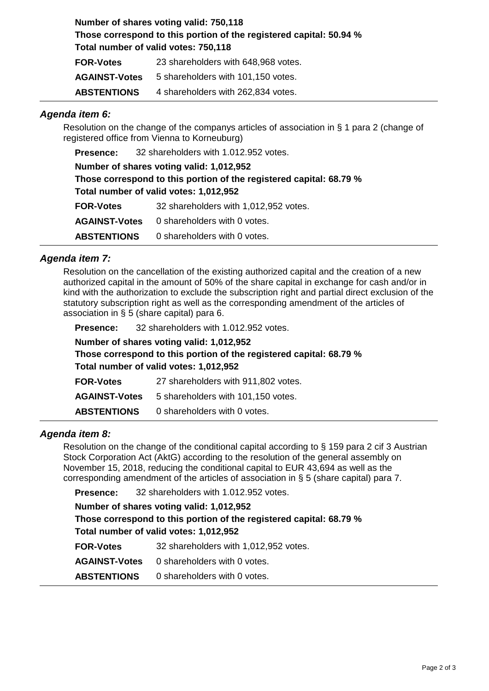**Number of shares voting valid: 750,118 Those correspond to this portion of the registered capital: 50.94 % Total number of valid votes: 750,118 FOR-Votes** 23 shareholders with 648,968 votes.

| <b>AGAINST-Votes</b> | 5 shareholders with 101,150 votes. |
|----------------------|------------------------------------|
| <b>ABSTENTIONS</b>   | 4 shareholders with 262,834 votes. |

#### *Agenda item 6:*

Resolution on the change of the companys articles of association in § 1 para 2 (change of registered office from Vienna to Korneuburg)

**Presence:** 32 shareholders with 1.012.952 votes.

**Number of shares voting valid: 1,012,952 Those correspond to this portion of the registered capital: 68.79 % Total number of valid votes: 1,012,952 FOR-Votes** 32 shareholders with 1,012,952 votes.

**AGAINST-Votes** 0 shareholders with 0 votes.

**ABSTENTIONS** 0 shareholders with 0 votes.

### *Agenda item 7:*

Resolution on the cancellation of the existing authorized capital and the creation of a new authorized capital in the amount of 50% of the share capital in exchange for cash and/or in kind with the authorization to exclude the subscription right and partial direct exclusion of the statutory subscription right as well as the corresponding amendment of the articles of association in § 5 (share capital) para 6.

| Presence: | 32 shareholders with 1.012.952 votes. |  |
|-----------|---------------------------------------|--|
|           |                                       |  |

**Number of shares voting valid: 1,012,952 Those correspond to this portion of the registered capital: 68.79 % Total number of valid votes: 1,012,952 FOR-Votes** 27 shareholders with 911,802 votes. **AGAINST-Votes** 5 shareholders with 101,150 votes.

**ABSTENTIONS** 0 shareholders with 0 votes.

#### *Agenda item 8:*

Resolution on the change of the conditional capital according to § 159 para 2 cif 3 Austrian Stock Corporation Act (AktG) according to the resolution of the general assembly on November 15, 2018, reducing the conditional capital to EUR 43,694 as well as the corresponding amendment of the articles of association in § 5 (share capital) para 7.

**Presence:** 32 shareholders with 1.012.952 votes.

**Number of shares voting valid: 1,012,952 Those correspond to this portion of the registered capital: 68.79 % Total number of valid votes: 1,012,952**

**FOR-Votes** 32 shareholders with 1,012,952 votes. **AGAINST-Votes** 0 shareholders with 0 votes. **ABSTENTIONS** 0 shareholders with 0 votes.